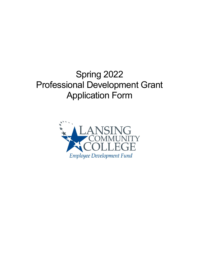# Spring 2022 Professional Development Grant Application Form

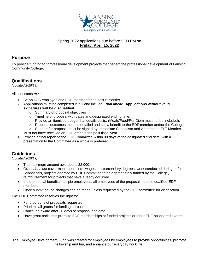

#### Spring 2022 applications due before 5:00 PM on **Friday, April 15, 2022**

### **Purpose**

To provide funding for professional development projects that benefit the professional development of Lansing Community College.

## **Qualifications**

*(updated 2/26/19)* 

All applicants *must*:

- 1. Be an LCC employee and EDF member for at least 6 months.
- 2. Applications must be completed in full and include: **Plan ahead! Applications without valid signatures will be disqualified.** 
	- o Summary of proposal objectives
	- o Timeline of proposal with dates and designated ending time.
	- o Provide an itemized budget that details costs. (Meals/Food/Per Diem must not be included).
	- $\circ$  Proposal outcomes must be detailed and show benefit to the EDF member and/or the College.
	- o Support for proposal must be signed by Immediate Supervisor and Appropriate ELT Member.
- 3. Must not have received an EDF grant in the past fiscal year.
- 4. Provide a final report to the EDF Committee within 90 days of the designated end date, with a presentation to the Committee as a whole is preferred.

## **Guidelines**

*(updated 2/26/19)*

- The maximum amount awarded is \$2,000.
- Grant *does not* cover meals, per diem, wages, postsecondary degrees, work conducted during or for Sabbaticals, projects deemed by EDF Committee to be appropriately funded by the College, reimbursement for projects that have already occurred.
- If the proposal benefits multiple employees, all employees of the proposal must be qualified EDF members.
- Once submitted, no changes can be made unless requested by the EDF committee for clarification.

The EDF Committee reserves the right to:

- Fund portions of proposals requested.
- Prioritize all grants for funding purposes.
- Cancel an award after 30 days of proposal end date.
- Have grant recipients promote EDF memberships at funded projects or other EDF-sponsored events.

The Employee Development Fund was created for employees by employees to provide opportunities, promote fellowship and fun, and enhance our everyday work life.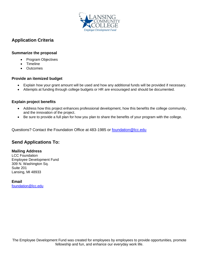

# **Application Criteria**

#### **Summarize the proposal**

- Program Objectives
- Timeline
- Outcomes

#### **Provide an itemized budget**

- Explain how your grant amount will be used and how any additional funds will be provided if necessary.
- Attempts at funding through college budgets or HR are encouraged and should be documented.

#### **Explain project benefits**

- Address how this project enhances professional development, how this benefits the college community, and the innovation of the project.
- Be sure to provide a full plan for how you plan to share the benefits of your program with the college.

Questions? Contact the Foundation Office at 483-1985 or [foundation@lcc.edu](mailto:foundation@lcc.edu)

## **Send Applications To:**

#### **Mailing Address**

LCC Foundation Employee Development Fund 309 N. Washington Sq. Suite 201 Lansing, MI 48933

**Email** [foundation@lcc.edu](mailto:foundation@lcc.edu)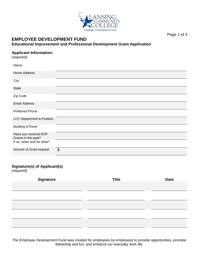

Page 1 of 3

#### **EMPLOYEE DEVELOPMENT FUND Educational Improvement and Professional Development Grant Application**

#### **Applicant Information:**

*(required)*

| Name                                         |                       |
|----------------------------------------------|-----------------------|
| <b>Home Address</b>                          |                       |
| City                                         |                       |
| <b>State</b>                                 |                       |
| Zip Code                                     |                       |
| <b>Email Address</b>                         |                       |
| <b>Preferred Phone</b>                       |                       |
| <b>LCC Department &amp; Position</b>         |                       |
| Building & Room                              |                       |
| Have you received EDF<br>Grants in the past? |                       |
| If so, when and for what?                    |                       |
| Amount of Grant request                      | $\boldsymbol{\theta}$ |

# **Signature(s) of Applicant(s)**

*(required)*

| <b>Signature</b> | <b>Title</b> | <b>Date</b> |
|------------------|--------------|-------------|
|                  |              |             |
|                  |              |             |
|                  |              |             |
|                  |              |             |
|                  |              |             |
|                  |              |             |
|                  |              |             |
|                  |              |             |

The Employee Development Fund was created for employees by employees to provide opportunities, promote fellowship and fun, and enhance our everyday work life.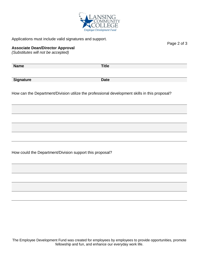

Applications must include valid signatures and support.

#### **Associate Dean/Director Approval**

*(Substitutes will not be accepted)*

**Name Title Signature** Date

How can the Department/Division utilize the professional development skills in this proposal?

How could the Department/Division support this proposal?

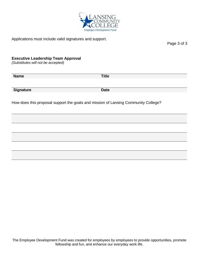

Applications must include valid signatures and support.

Page 3 of 3

#### **Executive Leadership Team Approval**

*(Substitutes will not be accepted)*

**Name Title Signature Date**

How does this proposal support the goals and mission of Lansing Community College?